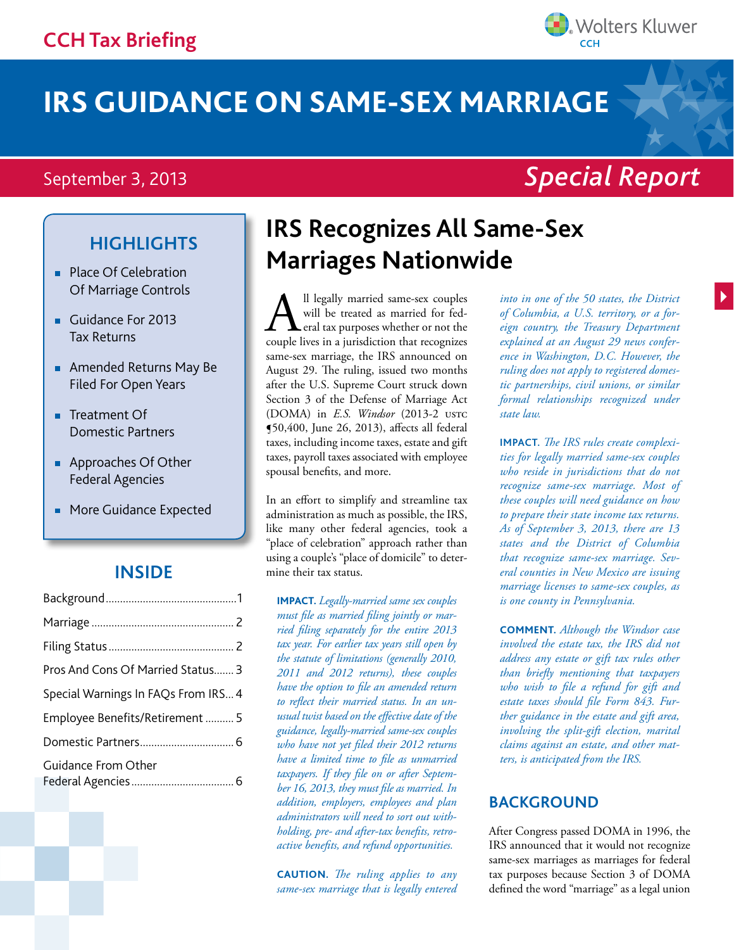# **IRS GUIDANCE ON SAME-SEX MARRIAGE**

### September 3, 2013

- **Place Of Celebration** Of Marriage Controls
- Guidance For 2013 Tax Returns
- Amended Returns May Be Filed For Open Years
- Treatment Of Domestic Partners
- **Approaches Of Other** Federal Agencies
- **More Guidance Expected**

#### **Inside**

### **Highlights IRS Recognizes All Same-Sex Marriages Nationwide**

All legally married same-sex couples<br>will be treated as married for fed-<br>couple lives in a jurisdiction that recognizes will be treated as married for federal tax purposes whether or not the same-sex marriage, the IRS announced on August 29. The ruling, issued two months after the U.S. Supreme Court struck down Section 3 of the Defense of Marriage Act (DOMA) in *E.S. Windsor* (2013-2 ustc ¶50,400, June 26, 2013), affects all federal taxes, including income taxes, estate and gift taxes, payroll taxes associated with employee spousal benefits, and more.

In an effort to simplify and streamline tax administration as much as possible, the IRS, like many other federal agencies, took a "place of celebration" approach rather than using a couple's "place of domicile" to determine their tax status.

**IMPACT.** *Legally-married same sex couples must file as married filing jointly or married filing separately for the entire 2013 tax year. For earlier tax years still open by the statute of limitations (generally 2010, 2011 and 2012 returns), these couples have the option to file an amended return to reflect their married status. In an unusual twist based on the effective date of the guidance, legally-married same-sex couples who have not yet filed their 2012 returns have a limited time to file as unmarried taxpayers. If they file on or after September 16, 2013, they must file as married. In addition, employers, employees and plan administrators will need to sort out withholding, pre- and after-tax benefits, retroactive benefits, and refund opportunities.*

**CAUTION.** *The ruling applies to any same-sex marriage that is legally entered* 

*into in one of the 50 states, the District of Columbia, a U.S. territory, or a foreign country, the Treasury Department explained at an August 29 news conference in Washington, D.C. However, the ruling does not apply to registered domestic partnerships, civil unions, or similar formal relationships recognized under state law.*

**IMPACT.** *The IRS rules create complexities for legally married same-sex couples who reside in jurisdictions that do not recognize same-sex marriage. Most of these couples will need guidance on how to prepare their state income tax returns. As of September 3, 2013, there are 13 states and the District of Columbia that recognize same-sex marriage. Several counties in New Mexico are issuing marriage licenses to same-sex couples, as is one county in Pennsylvania.* 

**COMMENT.** *Although the Windsor case involved the estate tax, the IRS did not address any estate or gift tax rules other than briefly mentioning that taxpayers who wish to file a refund for gift and estate taxes should file Form 843. Further guidance in the estate and gift area, involving the split-gift election, marital claims against an estate, and other matters, is anticipated from the IRS.* 

#### **BACKGROUND**

After Congress passed DOMA in 1996, the IRS announced that it would not recognize same-sex marriages as marriages for federal tax purposes because Section 3 of DOMA defined the word "marriage" as a legal union

# **Wolters Kluwer**

## *Special Report*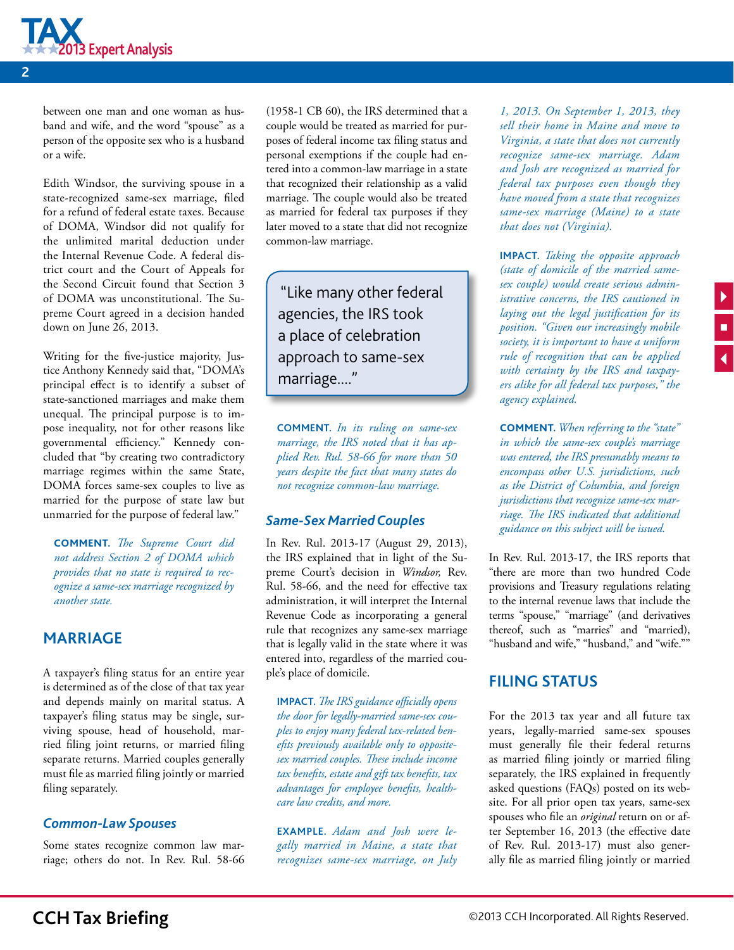<span id="page-1-0"></span>

between one man and one woman as husband and wife, and the word "spouse" as a person of the opposite sex who is a husband or a wife.

Edith Windsor, the surviving spouse in a state-recognized same-sex marriage, filed for a refund of federal estate taxes. Because of DOMA, Windsor did not qualify for the unlimited marital deduction under the Internal Revenue Code. A federal district court and the Court of Appeals for the Second Circuit found that Section 3 of DOMA was unconstitutional. The Supreme Court agreed in a decision handed down on June 26, 2013.

Writing for the five-justice majority, Justice Anthony Kennedy said that, "DOMA's principal effect is to identify a subset of state-sanctioned marriages and make them unequal. The principal purpose is to impose inequality, not for other reasons like governmental efficiency." Kennedy concluded that "by creating two contradictory marriage regimes within the same State, DOMA forces same-sex couples to live as married for the purpose of state law but unmarried for the purpose of federal law."

**COMMENT.** *The Supreme Court did not address Section 2 of DOMA which provides that no state is required to recognize a same-sex marriage recognized by another state.* 

#### **MARRIAGE**

A taxpayer's filing status for an entire year is determined as of the close of that tax year and depends mainly on marital status. A taxpayer's filing status may be single, surviving spouse, head of household, married filing joint returns, or married filing separate returns. Married couples generally must file as married filing jointly or married filing separately.

#### *Common-Law Spouses*

Some states recognize common law marriage; others do not. In Rev. Rul. 58-66 (1958-1 CB 60), the IRS determined that a couple would be treated as married for purposes of federal income tax filing status and personal exemptions if the couple had entered into a common-law marriage in a state that recognized their relationship as a valid marriage. The couple would also be treated as married for federal tax purposes if they later moved to a state that did not recognize common-law marriage.

"Like many other federal agencies, the IRS took a place of celebration approach to same-sex marriage...."

**COMMENT.** *In its ruling on same-sex marriage, the IRS noted that it has applied Rev. Rul. 58-66 for more than 50 years despite the fact that many states do not recognize common-law marriage.*

#### *Same-Sex Married Couples*

In Rev. Rul. 2013-17 (August 29, 2013), the IRS explained that in light of the Supreme Court's decision in *Windsor,* Rev. Rul. 58-66, and the need for effective tax administration, it will interpret the Internal Revenue Code as incorporating a general rule that recognizes any same-sex marriage that is legally valid in the state where it was entered into, regardless of the married couple's place of domicile.

**IMPACT.** *The IRS guidance officially opens the door for legally-married same-sex couples to enjoy many federal tax-related benefits previously available only to oppositesex married couples. These include income tax benefits, estate and gift tax benefits, tax advantages for employee benefits, healthcare law credits, and more.* 

**EXAMPLE.** *Adam and Josh were legally married in Maine, a state that recognizes same-sex marriage, on July* 

*1, 2013. On September 1, 2013, they sell their home in Maine and move to Virginia, a state that does not currently recognize same-sex marriage. Adam and Josh are recognized as married for federal tax purposes even though they have moved from a state that recognizes same-sex marriage (Maine) to a state that does not (Virginia).*

**IMPACT.** *Taking the opposite approach (state of domicile of the married samesex couple) would create serious administrative concerns, the IRS cautioned in laying out the legal justification for its position. "Given our increasingly mobile society, it is important to have a uniform rule of recognition that can be applied with certainty by the IRS and taxpayers alike for all federal tax purposes," the agency explained.* 

**COMMENT.** *When referring to the "state" in which the same-sex couple's marriage was entered, the IRS presumably means to encompass other U.S. jurisdictions, such as the District of Columbia, and foreign jurisdictions that recognize same-sex marriage. The IRS indicated that additional guidance on this subject will be issued.*

In Rev. Rul. 2013-17, the IRS reports that "there are more than two hundred Code provisions and Treasury regulations relating to the internal revenue laws that include the terms "spouse," "marriage" (and derivatives thereof, such as "marries" and "married), "husband and wife," "husband," and "wife.""

#### **FILING STATUS**

For the 2013 tax year and all future tax years, legally-married same-sex spouses must generally file their federal returns as married filing jointly or married filing separately, the IRS explained in frequently asked questions (FAQs) posted on its website. For all prior open tax years, same-sex spouses who file an *original* return on or after September 16, 2013 (the effective date of Rev. Rul. 2013-17) must also generally file as married filing jointly or married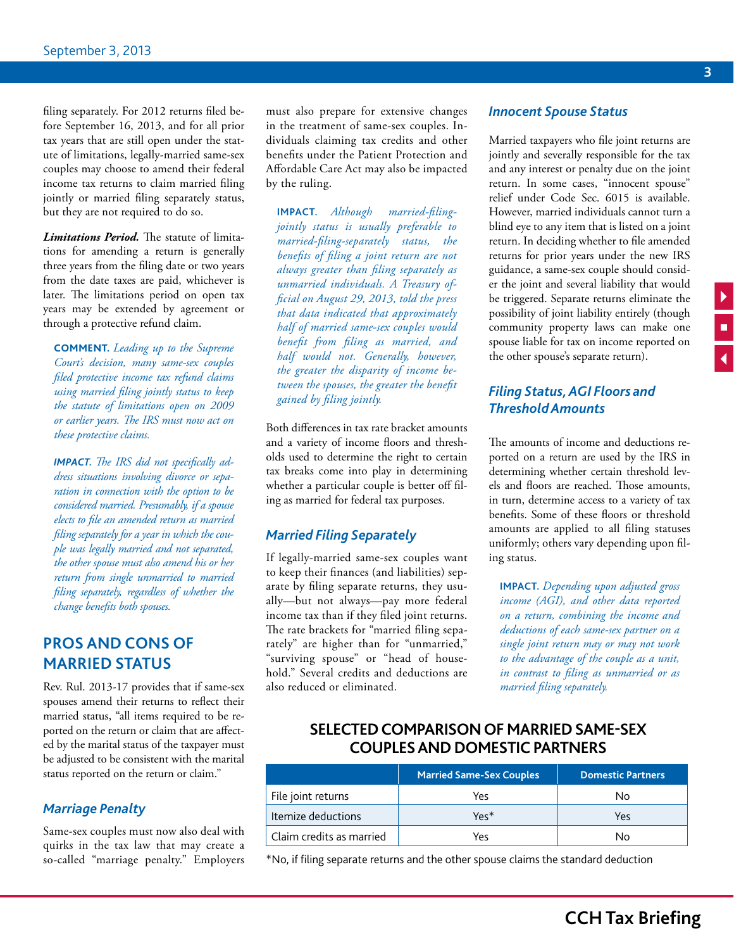<span id="page-2-0"></span>filing separately. For 2012 returns filed before September 16, 2013, and for all prior tax years that are still open under the statute of limitations, legally-married same-sex couples may choose to amend their federal income tax returns to claim married filing jointly or married filing separately status, but they are not required to do so.

*Limitations Period.* The statute of limitations for amending a return is generally three years from the filing date or two years from the date taxes are paid, whichever is later. The limitations period on open tax years may be extended by agreement or through a protective refund claim.

**COMMENT.** *Leading up to the Supreme Court's decision, many same-sex couples filed protective income tax refund claims using married filing jointly status to keep the statute of limitations open on 2009 or earlier years. The IRS must now act on these protective claims.*

*IMPACT. The IRS did not specifically address situations involving divorce or separation in connection with the option to be considered married. Presumably, if a spouse elects to file an amended return as married filing separately for a year in which the couple was legally married and not separated, the other spouse must also amend his or her return from single unmarried to married filing separately, regardless of whether the change benefits both spouses.*

#### **PROS AND CONS OF MARRIED STATUS**

Rev. Rul. 2013-17 provides that if same-sex spouses amend their returns to reflect their married status, "all items required to be reported on the return or claim that are affected by the marital status of the taxpayer must be adjusted to be consistent with the marital status reported on the return or claim."

#### *Marriage Penalty*

Same-sex couples must now also deal with quirks in the tax law that may create a so-called "marriage penalty." Employers must also prepare for extensive changes in the treatment of same-sex couples. Individuals claiming tax credits and other benefits under the Patient Protection and Affordable Care Act may also be impacted by the ruling.

**IMPACT.** *Although married-filingjointly status is usually preferable to married-filing-separately status, the benefits of filing a joint return are not always greater than filing separately as unmarried individuals. A Treasury official on August 29, 2013, told the press that data indicated that approximately half of married same-sex couples would benefit from filing as married, and half would not. Generally, however, the greater the disparity of income between the spouses, the greater the benefit gained by filing jointly.* 

Both differences in tax rate bracket amounts and a variety of income floors and thresholds used to determine the right to certain tax breaks come into play in determining whether a particular couple is better off filing as married for federal tax purposes.

#### *Married Filing Separately*

If legally-married same-sex couples want to keep their finances (and liabilities) separate by filing separate returns, they usually—but not always—pay more federal income tax than if they filed joint returns. The rate brackets for "married filing separately" are higher than for "unmarried," "surviving spouse" or "head of household." Several credits and deductions are also reduced or eliminated.

#### *Innocent Spouse Status*

Married taxpayers who file joint returns are jointly and severally responsible for the tax and any interest or penalty due on the joint return. In some cases, "innocent spouse" relief under Code Sec. 6015 is available. However, married individuals cannot turn a blind eye to any item that is listed on a joint return. In deciding whether to file amended returns for prior years under the new IRS guidance, a same-sex couple should consider the joint and several liability that would be triggered. Separate returns eliminate the possibility of joint liability entirely (though community property laws can make one spouse liable for tax on income reported on the other spouse's separate return).

#### *Filing Status, AGI Floors and Threshold Amounts*

The amounts of income and deductions reported on a return are used by the IRS in determining whether certain threshold levels and floors are reached. Those amounts, in turn, determine access to a variety of tax benefits. Some of these floors or threshold amounts are applied to all filing statuses uniformly; others vary depending upon filing status.

**IMPACT.** *Depending upon adjusted gross income (AGI), and other data reported on a return, combining the income and deductions of each same-sex partner on a single joint return may or may not work to the advantage of the couple as a unit, in contrast to filing as unmarried or as married filing separately.*

#### **SELECTED COMPARISON OF MARRIED SAME-SEX COUPLES AND DOMESTIC PARTNERS**

|                          | <b>Married Same-Sex Couples</b> | <b>Domestic Partners</b> |
|--------------------------|---------------------------------|--------------------------|
| File joint returns       | Yes                             | N٥                       |
| Itemize deductions       | Yes*                            | Yes                      |
| Claim credits as married | Yes                             | Nο                       |

\*No, if filing separate returns and the other spouse claims the standard deduction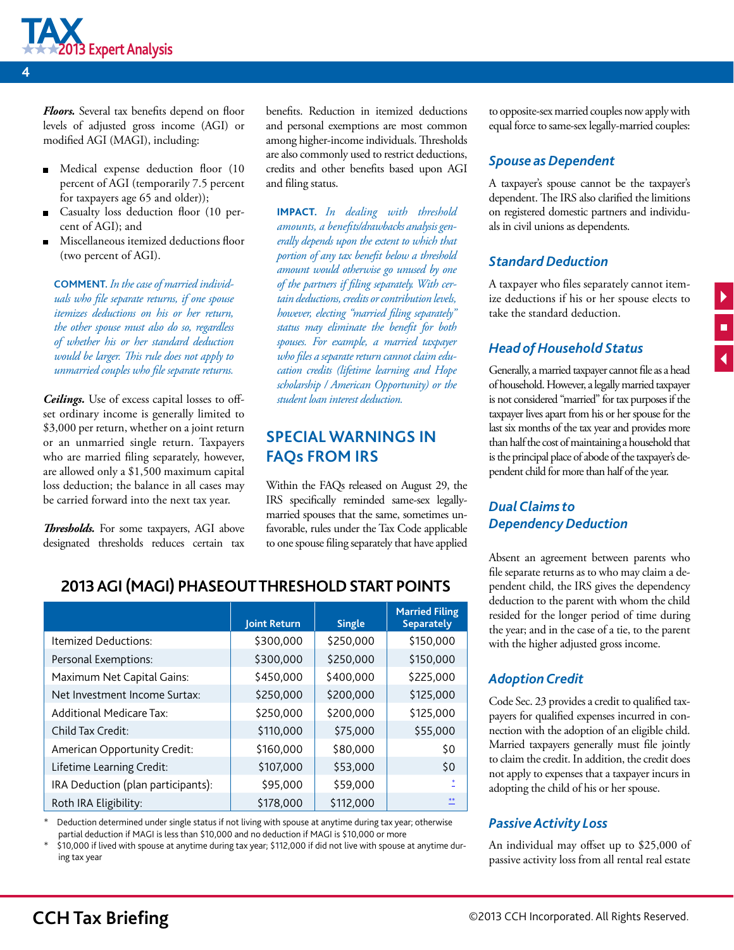<span id="page-3-0"></span>

*Floors.* Several tax benefits depend on floor levels of adjusted gross income (AGI) or modified AGI (MAGI), including:

- Medical expense deduction floor (10 percent of AGI (temporarily 7.5 percent for taxpayers age 65 and older));
- Casualty loss deduction floor (10 percent of AGI); and
- Miscellaneous itemized deductions floor (two percent of AGI).

**COMMENT.** *In the case of married individuals who file separate returns, if one spouse itemizes deductions on his or her return, the other spouse must also do so, regardless of whether his or her standard deduction would be larger. This rule does not apply to unmarried couples who file separate returns.*

*Ceilings.* Use of excess capital losses to offset ordinary income is generally limited to \$3,000 per return, whether on a joint return or an unmarried single return. Taxpayers who are married filing separately, however, are allowed only a \$1,500 maximum capital loss deduction; the balance in all cases may be carried forward into the next tax year.

*Thresholds.* For some taxpayers, AGI above designated thresholds reduces certain tax benefits. Reduction in itemized deductions and personal exemptions are most common among higher-income individuals. Thresholds are also commonly used to restrict deductions, credits and other benefits based upon AGI and filing status.

**IMPACT.** *In dealing with threshold amounts, a benefits/drawbacks analysis generally depends upon the extent to which that portion of any tax benefit below a threshold amount would otherwise go unused by one of the partners if filing separately. With certain deductions, credits or contribution levels, however, electing "married filing separately" status may eliminate the benefit for both spouses. For example, a married taxpayer who files a separate return cannot claim education credits (lifetime learning and Hope scholarship / American Opportunity) or the student loan interest deduction.*

#### **SPECIAL WARNINGS IN FAQs FROM IRS**

Within the FAQs released on August 29, the IRS specifically reminded same-sex legallymarried spouses that the same, sometimes unfavorable, rules under the Tax Code applicable to one spouse filing separately that have applied to opposite-sex married couples now apply with equal force to same-sex legally-married couples:

#### *Spouse as Dependent*

A taxpayer's spouse cannot be the taxpayer's dependent. The IRS also clarified the limitions on registered domestic partners and individuals in civil unions as dependents.

#### *Standard Deduction*

A taxpayer who files separately cannot itemize deductions if his or her spouse elects to take the standard deduction.

 $\frac{1}{1}$ 

#### *Head of Household Status*

Generally, a married taxpayer cannot file as a head of household. However, a legally married taxpayer is not considered "married" for tax purposes if the taxpayer lives apart from his or her spouse for the last six months of the tax year and provides more than half the cost of maintaining a household that is the principal place of abode of the taxpayer's dependent child for more than half of the year.

#### *Dual Claims to Dependency Deduction*

Absent an agreement between parents who file separate returns as to who may claim a dependent child, the IRS gives the dependency deduction to the parent with whom the child resided for the longer period of time during the year; and in the case of a tie, to the parent with the higher adjusted gross income.

#### *Adoption Credit*

Code Sec. 23 provides a credit to qualified taxpayers for qualified expenses incurred in connection with the adoption of an eligible child. Married taxpayers generally must file jointly to claim the credit. In addition, the credit does not apply to expenses that a taxpayer incurs in adopting the child of his or her spouse.

#### *Passive Activity Loss*

An individual may offset up to \$25,000 of passive activity loss from all rental real estate

#### **2013 AGI (MAGI) PHASEOUT THRESHOLD START POINTS**

|                                    | Joint Return | <b>Single</b> | <b>Married Filing</b><br><b>Separately</b> |
|------------------------------------|--------------|---------------|--------------------------------------------|
| Itemized Deductions:               | \$300,000    | \$250,000     | \$150,000                                  |
| Personal Exemptions:               | \$300,000    | \$250,000     | \$150,000                                  |
| Maximum Net Capital Gains:         | \$450,000    | \$400,000     | \$225,000                                  |
| Net Investment Income Surtax:      | \$250,000    | \$200,000     | \$125,000                                  |
| <b>Additional Medicare Tax:</b>    | \$250,000    | \$200,000     | \$125,000                                  |
| Child Tax Credit:                  | \$110,000    | \$75,000      | \$55,000                                   |
| American Opportunity Credit:       | \$160,000    | \$80,000      | \$0                                        |
| Lifetime Learning Credit:          | \$107,000    | \$53,000      | \$0                                        |
| IRA Deduction (plan participants): | \$95,000     | \$59,000      |                                            |
| Roth IRA Eligibility:              | \$178,000    | \$112,000     |                                            |

Deduction determined under single status if not living with spouse at anytime during tax year; otherwise partial deduction if MAGI is less than \$10,000 and no deduction if MAGI is \$10,000 or more

\* \$10,000 if lived with spouse at anytime during tax year; \$112,000 if did not live with spouse at anytime during tax year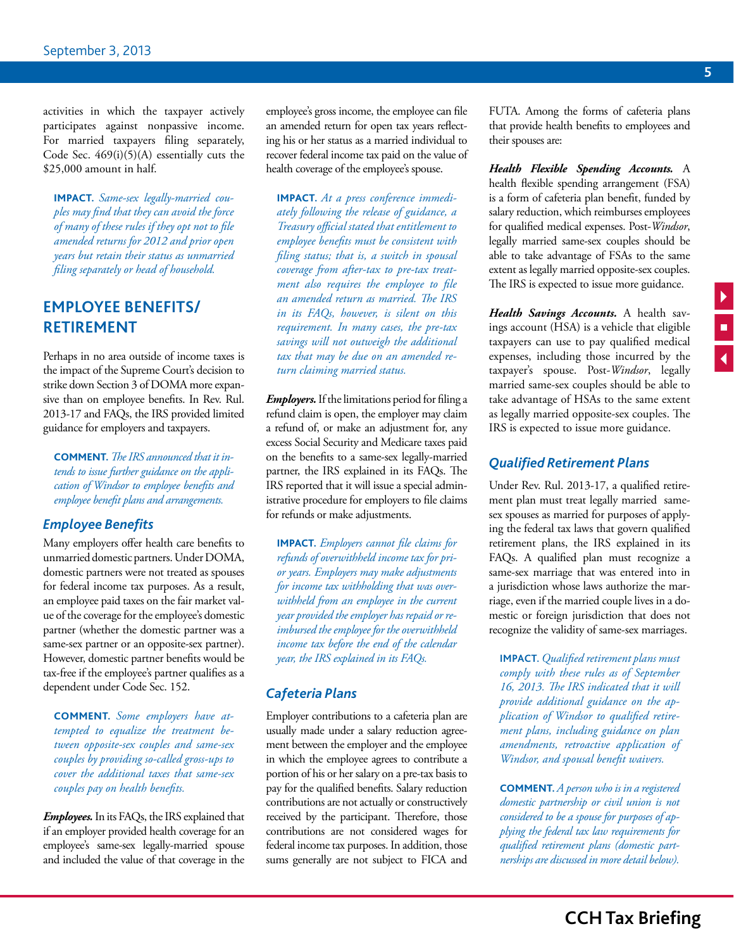<span id="page-4-0"></span>activities in which the taxpayer actively participates against nonpassive income. For married taxpayers filing separately, Code Sec. 469(i)(5)(A) essentially cuts the \$25,000 amount in half.

**IMPACT.** *Same-sex legally-married couples may find that they can avoid the force of many of these rules if they opt not to file amended returns for 2012 and prior open years but retain their status as unmarried filing separately or head of household.*

#### **EMPLOYEE BENEFITS/ RETIREMENT**

Perhaps in no area outside of income taxes is the impact of the Supreme Court's decision to strike down Section 3 of DOMA more expansive than on employee benefits. In Rev. Rul. 2013-17 and FAQs, the IRS provided limited guidance for employers and taxpayers.

**COMMENT.** *The IRS announced that it intends to issue further guidance on the application of Windsor to employee benefits and employee benefit plans and arrangements.* 

#### *Employee Benefits*

Many employers offer health care benefits to unmarried domestic partners. Under DOMA, domestic partners were not treated as spouses for federal income tax purposes. As a result, an employee paid taxes on the fair market value of the coverage for the employee's domestic partner (whether the domestic partner was a same-sex partner or an opposite-sex partner). However, domestic partner benefits would be tax-free if the employee's partner qualifies as a dependent under Code Sec. 152.

**COMMENT.** *Some employers have attempted to equalize the treatment between opposite-sex couples and same-sex couples by providing so-called gross-ups to cover the additional taxes that same-sex couples pay on health benefits.* 

*Employees.* In its FAQs, the IRS explained that if an employer provided health coverage for an employee's same-sex legally-married spouse and included the value of that coverage in the

employee's gross income, the employee can file an amended return for open tax years reflecting his or her status as a married individual to recover federal income tax paid on the value of health coverage of the employee's spouse.

**IMPACT.** *At a press conference immediately following the release of guidance, a Treasury official stated that entitlement to employee benefits must be consistent with filing status; that is, a switch in spousal coverage from after-tax to pre-tax treatment also requires the employee to file an amended return as married. The IRS in its FAQs, however, is silent on this requirement. In many cases, the pre-tax savings will not outweigh the additional tax that may be due on an amended return claiming married status.*

*Employers.* If the limitations period for filing a refund claim is open, the employer may claim a refund of, or make an adjustment for, any excess Social Security and Medicare taxes paid on the benefits to a same-sex legally-married partner, the IRS explained in its FAQs. The IRS reported that it will issue a special administrative procedure for employers to file claims for refunds or make adjustments.

**IMPACT.** *Employers cannot file claims for refunds of overwithheld income tax for prior years. Employers may make adjustments for income tax withholding that was overwithheld from an employee in the current year provided the employer has repaid or reimbursed the employee for the overwithheld income tax before the end of the calendar year, the IRS explained in its FAQs.*

#### *Cafeteria Plans*

Employer contributions to a cafeteria plan are usually made under a salary reduction agreement between the employer and the employee in which the employee agrees to contribute a portion of his or her salary on a pre-tax basis to pay for the qualified benefits. Salary reduction contributions are not actually or constructively received by the participant. Therefore, those contributions are not considered wages for federal income tax purposes. In addition, those sums generally are not subject to FICA and FUTA. Among the forms of cafeteria plans that provide health benefits to employees and their spouses are:

*Health Flexible Spending Accounts.* A health flexible spending arrangement (FSA) is a form of cafeteria plan benefit, funded by salary reduction, which reimburses employees for qualified medical expenses. Post-*Windsor*, legally married same-sex couples should be able to take advantage of FSAs to the same extent as legally married opposite-sex couples. The IRS is expected to issue more guidance.

*Health Savings Accounts.* A health savings account (HSA) is a vehicle that eligible taxpayers can use to pay qualified medical expenses, including those incurred by the taxpayer's spouse. Post-*Windsor*, legally married same-sex couples should be able to take advantage of HSAs to the same extent as legally married opposite-sex couples. The IRS is expected to issue more guidance.

#### *Qualified Retirement Plans*

Under Rev. Rul. 2013-17, a qualified retirement plan must treat legally married samesex spouses as married for purposes of applying the federal tax laws that govern qualified retirement plans, the IRS explained in its FAQs. A qualified plan must recognize a same-sex marriage that was entered into in a jurisdiction whose laws authorize the marriage, even if the married couple lives in a domestic or foreign jurisdiction that does not recognize the validity of same-sex marriages.

**IMPACT.** *Qualified retirement plans must comply with these rules as of September 16, 2013. The IRS indicated that it will provide additional guidance on the application of Windsor to qualified retirement plans, including guidance on plan amendments, retroactive application of Windsor, and spousal benefit waivers.*

**COMMENT.** *A person who is in a registered domestic partnership or civil union is not considered to be a spouse for purposes of applying the federal tax law requirements for qualified retirement plans (domestic partnerships are discussed in more detail below).*

 $\frac{1}{4}$